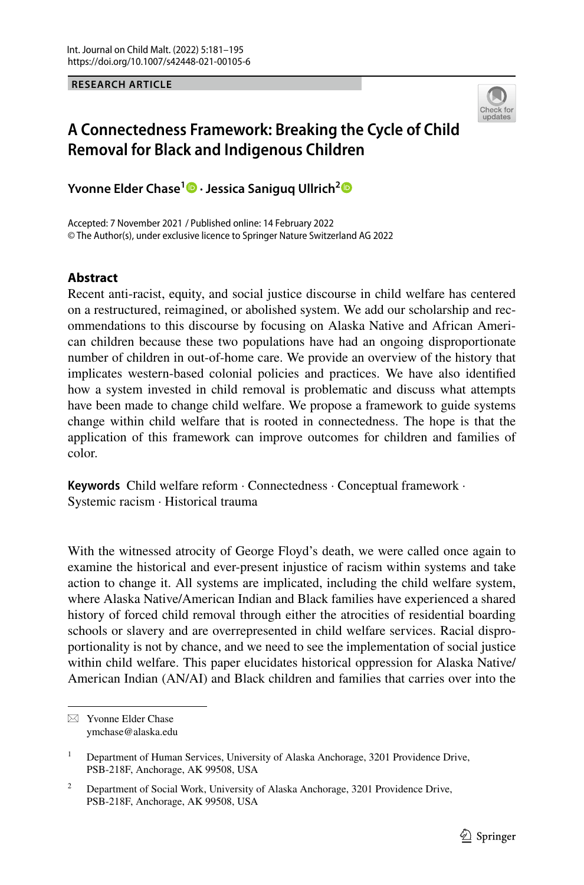#### **RESEARCH ARTICLE**



# **A Connectedness Framework: Breaking the Cycle of Child Removal for Black and Indigenous Children**

**Yvonne Elder Chase[1](http://orcid.org/0000-0002-6286-7123) · Jessica Saniguq Ullrich[2](https://orcid.org/0000-0002-9700-6833)**

Accepted: 7 November 2021 / Published online: 14 February 2022 © The Author(s), under exclusive licence to Springer Nature Switzerland AG 2022

# **Abstract**

Recent anti-racist, equity, and social justice discourse in child welfare has centered on a restructured, reimagined, or abolished system. We add our scholarship and recommendations to this discourse by focusing on Alaska Native and African American children because these two populations have had an ongoing disproportionate number of children in out-of-home care. We provide an overview of the history that implicates western-based colonial policies and practices. We have also identifed how a system invested in child removal is problematic and discuss what attempts have been made to change child welfare. We propose a framework to guide systems change within child welfare that is rooted in connectedness. The hope is that the application of this framework can improve outcomes for children and families of color.

**Keywords** Child welfare reform · Connectedness · Conceptual framework · Systemic racism · Historical trauma

With the witnessed atrocity of George Floyd's death, we were called once again to examine the historical and ever-present injustice of racism within systems and take action to change it. All systems are implicated, including the child welfare system, where Alaska Native/American Indian and Black families have experienced a shared history of forced child removal through either the atrocities of residential boarding schools or slavery and are overrepresented in child welfare services. Racial disproportionality is not by chance, and we need to see the implementation of social justice within child welfare. This paper elucidates historical oppression for Alaska Native/ American Indian (AN/AI) and Black children and families that carries over into the

 $\boxtimes$  Yvonne Elder Chase ymchase@alaska.edu

<sup>1</sup> Department of Human Services, University of Alaska Anchorage, 3201 Providence Drive, PSB-218F, Anchorage, AK 99508, USA

<sup>&</sup>lt;sup>2</sup> Department of Social Work, University of Alaska Anchorage, 3201 Providence Drive, PSB-218F, Anchorage, AK 99508, USA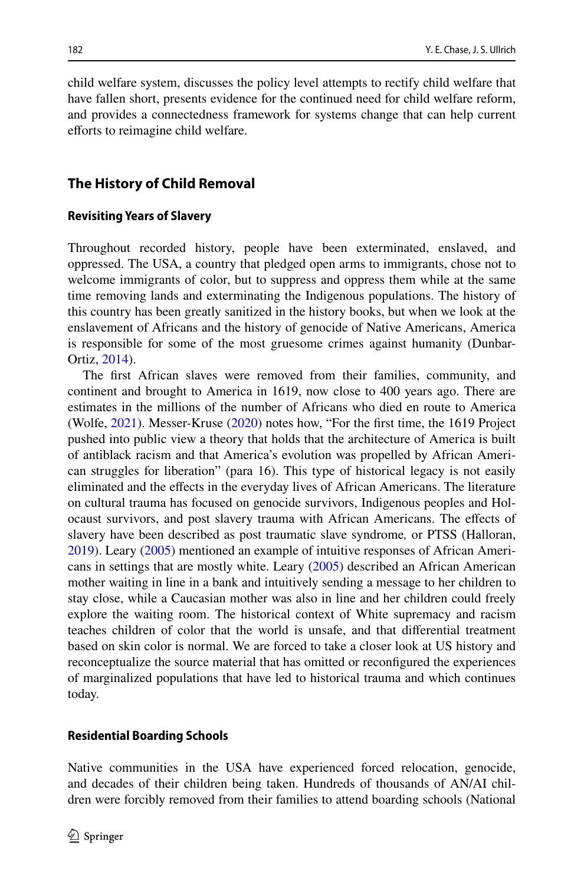child welfare system, discusses the policy level attempts to rectify child welfare that have fallen short, presents evidence for the continued need for child welfare reform, and provides a connectedness framework for systems change that can help current efforts to reimagine child welfare.

## **The History of Child Removal**

#### **Revisiting Years of Slavery**

Throughout recorded history, people have been exterminated, enslaved, and oppressed. The USA, a country that pledged open arms to immigrants, chose not to welcome immigrants of color, but to suppress and oppress them while at the same time removing lands and exterminating the Indigenous populations. The history of this country has been greatly sanitized in the history books, but when we look at the enslavement of Africans and the history of genocide of Native Americans, America is responsible for some of the most gruesome crimes against humanity (Dunbar-Ortiz, [2014\)](#page-12-0).

The frst African slaves were removed from their families, community, and continent and brought to America in 1619, now close to 400 years ago. There are estimates in the millions of the number of Africans who died en route to America (Wolfe, [2021](#page-14-0)). Messer-Kruse [\(2020](#page-13-0)) notes how, "For the frst time, the 1619 Project pushed into public view a theory that holds that the architecture of America is built of antiblack racism and that America's evolution was propelled by African American struggles for liberation" (para 16). This type of historical legacy is not easily eliminated and the efects in the everyday lives of African Americans. The literature on cultural trauma has focused on genocide survivors, Indigenous peoples and Holocaust survivors, and post slavery trauma with African Americans. The efects of slavery have been described as post traumatic slave syndrome*,* or PTSS (Halloran, [2019](#page-13-1)). Leary ([2005\)](#page-13-2) mentioned an example of intuitive responses of African Americans in settings that are mostly white. Leary [\(2005](#page-13-2)) described an African American mother waiting in line in a bank and intuitively sending a message to her children to stay close, while a Caucasian mother was also in line and her children could freely explore the waiting room. The historical context of White supremacy and racism teaches children of color that the world is unsafe, and that diferential treatment based on skin color is normal. We are forced to take a closer look at US history and reconceptualize the source material that has omitted or reconfgured the experiences of marginalized populations that have led to historical trauma and which continues today.

#### **Residential Boarding Schools**

Native communities in the USA have experienced forced relocation, genocide, and decades of their children being taken. Hundreds of thousands of AN/AI children were forcibly removed from their families to attend boarding schools (National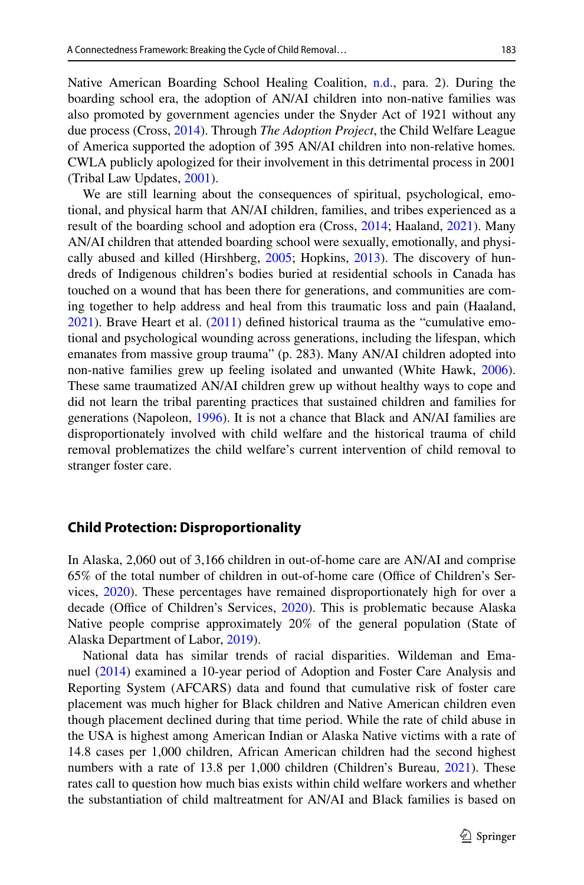Native American Boarding School Healing Coalition, [n.d](#page-13-3)., para. 2). During the boarding school era, the adoption of AN/AI children into non-native families was also promoted by government agencies under the Snyder Act of 1921 without any due process (Cross, [2014\)](#page-12-1). Through *The Adoption Project*, the Child Welfare League of America supported the adoption of 395 AN/AI children into non-relative homes*.* CWLA publicly apologized for their involvement in this detrimental process in 2001 (Tribal Law Updates, [2001\)](#page-14-1).

We are still learning about the consequences of spiritual, psychological, emotional, and physical harm that AN/AI children, families, and tribes experienced as a result of the boarding school and adoption era (Cross, [2014;](#page-12-1) Haaland, [2021](#page-12-2)). Many AN/AI children that attended boarding school were sexually, emotionally, and physically abused and killed (Hirshberg, [2005;](#page-13-4) Hopkins, [2013\)](#page-13-5). The discovery of hundreds of Indigenous children's bodies buried at residential schools in Canada has touched on a wound that has been there for generations, and communities are coming together to help address and heal from this traumatic loss and pain (Haaland, [2021](#page-12-2)). Brave Heart et al. ([2011\)](#page-12-3) defned historical trauma as the "cumulative emotional and psychological wounding across generations, including the lifespan, which emanates from massive group trauma" (p. 283). Many AN/AI children adopted into non-native families grew up feeling isolated and unwanted (White Hawk, [2006\)](#page-14-2). These same traumatized AN/AI children grew up without healthy ways to cope and did not learn the tribal parenting practices that sustained children and families for generations (Napoleon, [1996](#page-13-6)). It is not a chance that Black and AN/AI families are disproportionately involved with child welfare and the historical trauma of child removal problematizes the child welfare's current intervention of child removal to stranger foster care.

## **Child Protection: Disproportionality**

In Alaska, 2,060 out of 3,166 children in out-of-home care are AN/AI and comprise  $65\%$  of the total number of children in out-of-home care (Office of Children's Services, [2020\)](#page-13-7). These percentages have remained disproportionately high for over a decade (Office of Children's Services, [2020\)](#page-13-7). This is problematic because Alaska Native people comprise approximately 20% of the general population (State of Alaska Department of Labor, [2019\)](#page-14-3).

National data has similar trends of racial disparities. Wildeman and Emanuel [\(2014](#page-14-4)) examined a 10-year period of Adoption and Foster Care Analysis and Reporting System (AFCARS) data and found that cumulative risk of foster care placement was much higher for Black children and Native American children even though placement declined during that time period. While the rate of child abuse in the USA is highest among American Indian or Alaska Native victims with a rate of 14.8 cases per 1,000 children, African American children had the second highest numbers with a rate of 13.8 per 1,000 children (Children's Bureau, [2021\)](#page-12-4). These rates call to question how much bias exists within child welfare workers and whether the substantiation of child maltreatment for AN/AI and Black families is based on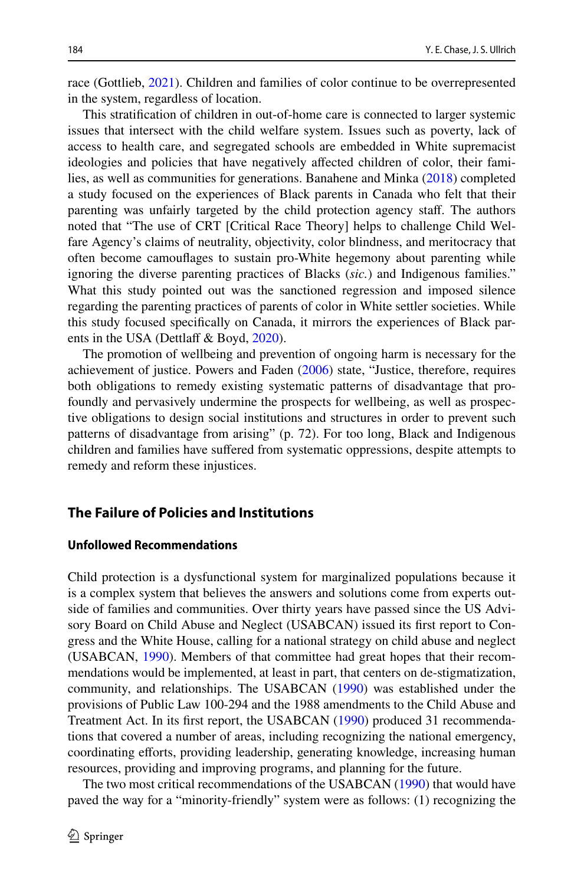race (Gottlieb, [2021\)](#page-12-5). Children and families of color continue to be overrepresented in the system, regardless of location.

This stratifcation of children in out-of-home care is connected to larger systemic issues that intersect with the child welfare system. Issues such as poverty, lack of access to health care, and segregated schools are embedded in White supremacist ideologies and policies that have negatively afected children of color, their families, as well as communities for generations. Banahene and Minka ([2018\)](#page-12-6) completed a study focused on the experiences of Black parents in Canada who felt that their parenting was unfairly targeted by the child protection agency staf. The authors noted that "The use of CRT [Critical Race Theory] helps to challenge Child Welfare Agency's claims of neutrality, objectivity, color blindness, and meritocracy that often become camoufages to sustain pro-White hegemony about parenting while ignoring the diverse parenting practices of Blacks (*sic.*) and Indigenous families." What this study pointed out was the sanctioned regression and imposed silence regarding the parenting practices of parents of color in White settler societies. While this study focused specifcally on Canada, it mirrors the experiences of Black parents in the USA (Dettlaff  $&$  Boyd, [2020\)](#page-12-7).

The promotion of wellbeing and prevention of ongoing harm is necessary for the achievement of justice. Powers and Faden [\(2006](#page-13-8)) state, "Justice, therefore, requires both obligations to remedy existing systematic patterns of disadvantage that profoundly and pervasively undermine the prospects for wellbeing, as well as prospective obligations to design social institutions and structures in order to prevent such patterns of disadvantage from arising" (p. 72). For too long, Black and Indigenous children and families have sufered from systematic oppressions, despite attempts to remedy and reform these injustices.

# **The Failure of Policies and Institutions**

#### **Unfollowed Recommendations**

Child protection is a dysfunctional system for marginalized populations because it is a complex system that believes the answers and solutions come from experts outside of families and communities. Over thirty years have passed since the US Advisory Board on Child Abuse and Neglect (USABCAN) issued its frst report to Congress and the White House, calling for a national strategy on child abuse and neglect (USABCAN, [1990](#page-14-5)). Members of that committee had great hopes that their recommendations would be implemented, at least in part, that centers on de-stigmatization, community, and relationships. The USABCAN ([1990\)](#page-14-5) was established under the provisions of Public Law 100-294 and the 1988 amendments to the Child Abuse and Treatment Act. In its frst report, the USABCAN [\(1990](#page-14-5)) produced 31 recommendations that covered a number of areas, including recognizing the national emergency, coordinating eforts, providing leadership, generating knowledge, increasing human resources, providing and improving programs, and planning for the future.

The two most critical recommendations of the USABCAN [\(1990](#page-14-5)) that would have paved the way for a "minority-friendly" system were as follows: (1) recognizing the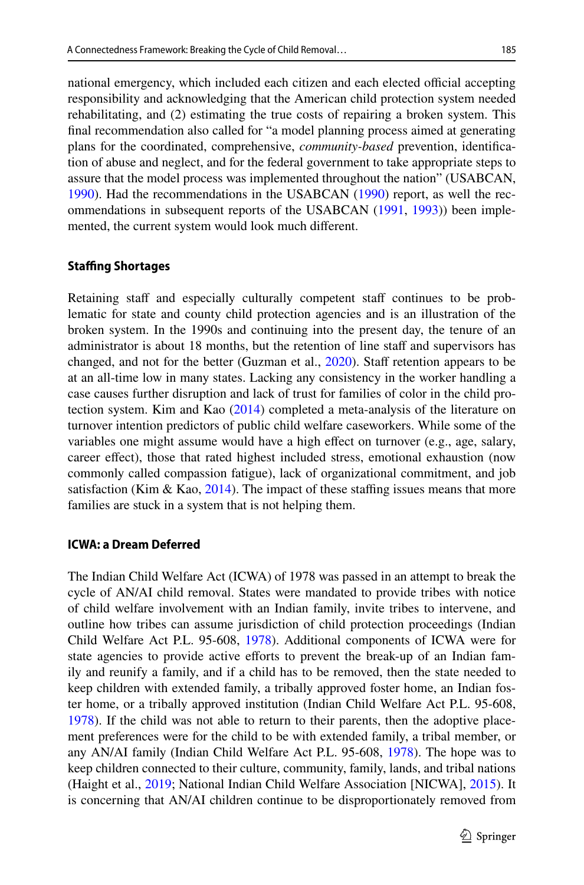national emergency, which included each citizen and each elected official accepting responsibility and acknowledging that the American child protection system needed rehabilitating, and (2) estimating the true costs of repairing a broken system. This fnal recommendation also called for "a model planning process aimed at generating plans for the coordinated, comprehensive, *community-based* prevention, identifcation of abuse and neglect, and for the federal government to take appropriate steps to assure that the model process was implemented throughout the nation" (USABCAN, [1990](#page-14-5)). Had the recommendations in the USABCAN ([1990\)](#page-14-5) report, as well the recommendations in subsequent reports of the USABCAN [\(1991](#page-14-6), [1993](#page-14-7))) been implemented, the current system would look much diferent.

#### **Stafng Shortages**

Retaining staff and especially culturally competent staff continues to be problematic for state and county child protection agencies and is an illustration of the broken system. In the 1990s and continuing into the present day, the tenure of an administrator is about 18 months, but the retention of line staff and supervisors has changed, and not for the better (Guzman et al., [2020\)](#page-12-8). Staf retention appears to be at an all-time low in many states. Lacking any consistency in the worker handling a case causes further disruption and lack of trust for families of color in the child protection system. Kim and Kao [\(2014](#page-13-9)) completed a meta-analysis of the literature on turnover intention predictors of public child welfare caseworkers. While some of the variables one might assume would have a high efect on turnover (e.g., age, salary, career efect), those that rated highest included stress, emotional exhaustion (now commonly called compassion fatigue), lack of organizational commitment, and job satisfaction (Kim & Kao, [2014](#page-13-9)). The impact of these staffing issues means that more families are stuck in a system that is not helping them.

#### **ICWA: a Dream Deferred**

The Indian Child Welfare Act (ICWA) of 1978 was passed in an attempt to break the cycle of AN/AI child removal. States were mandated to provide tribes with notice of child welfare involvement with an Indian family, invite tribes to intervene, and outline how tribes can assume jurisdiction of child protection proceedings (Indian Child Welfare Act P.L. 95-608, [1978](#page-13-10)). Additional components of ICWA were for state agencies to provide active eforts to prevent the break-up of an Indian family and reunify a family, and if a child has to be removed, then the state needed to keep children with extended family, a tribally approved foster home, an Indian foster home, or a tribally approved institution (Indian Child Welfare Act P.L. 95-608, [1978](#page-13-10)). If the child was not able to return to their parents, then the adoptive placement preferences were for the child to be with extended family, a tribal member, or any AN/AI family (Indian Child Welfare Act P.L. 95-608, [1978](#page-13-10)). The hope was to keep children connected to their culture, community, family, lands, and tribal nations (Haight et al., [2019](#page-12-9); National Indian Child Welfare Association [NICWA], [2015\)](#page-13-11). It is concerning that AN/AI children continue to be disproportionately removed from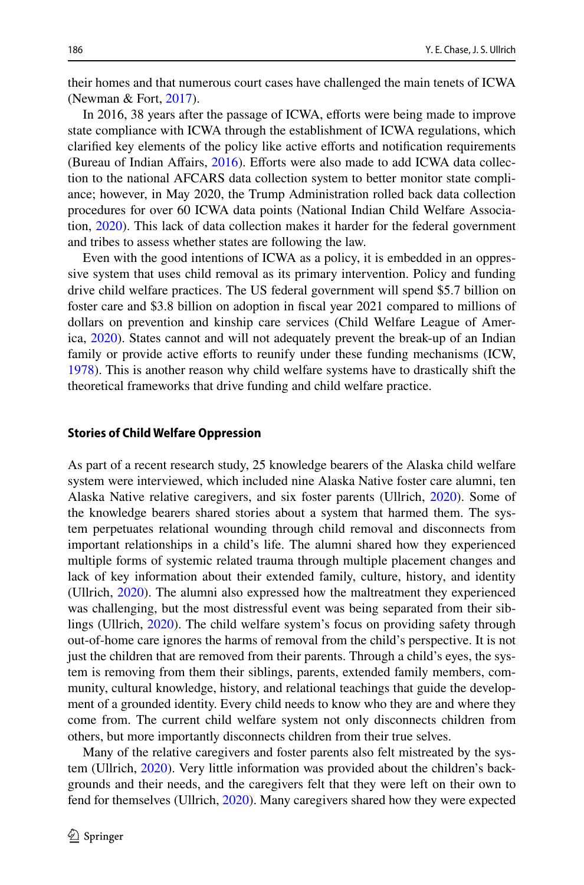their homes and that numerous court cases have challenged the main tenets of ICWA (Newman & Fort, [2017\)](#page-13-12).

In 2016, 38 years after the passage of ICWA, eforts were being made to improve state compliance with ICWA through the establishment of ICWA regulations, which clarifed key elements of the policy like active eforts and notifcation requirements (Bureau of Indian Afairs, [2016](#page-12-10)). Eforts were also made to add ICWA data collection to the national AFCARS data collection system to better monitor state compliance; however, in May 2020, the Trump Administration rolled back data collection procedures for over 60 ICWA data points (National Indian Child Welfare Association, [2020](#page-13-13)). This lack of data collection makes it harder for the federal government and tribes to assess whether states are following the law.

Even with the good intentions of ICWA as a policy, it is embedded in an oppressive system that uses child removal as its primary intervention. Policy and funding drive child welfare practices. The US federal government will spend \$5.7 billion on foster care and \$3.8 billion on adoption in fscal year 2021 compared to millions of dollars on prevention and kinship care services (Child Welfare League of America, [2020](#page-12-11)). States cannot and will not adequately prevent the break-up of an Indian family or provide active eforts to reunify under these funding mechanisms (ICW, [1978](#page-13-10)). This is another reason why child welfare systems have to drastically shift the theoretical frameworks that drive funding and child welfare practice.

#### **Stories of Child Welfare Oppression**

As part of a recent research study, 25 knowledge bearers of the Alaska child welfare system were interviewed, which included nine Alaska Native foster care alumni, ten Alaska Native relative caregivers, and six foster parents (Ullrich, [2020\)](#page-14-8). Some of the knowledge bearers shared stories about a system that harmed them. The system perpetuates relational wounding through child removal and disconnects from important relationships in a child's life. The alumni shared how they experienced multiple forms of systemic related trauma through multiple placement changes and lack of key information about their extended family, culture, history, and identity (Ullrich, [2020](#page-14-8)). The alumni also expressed how the maltreatment they experienced was challenging, but the most distressful event was being separated from their siblings (Ullrich, [2020\)](#page-14-8). The child welfare system's focus on providing safety through out-of-home care ignores the harms of removal from the child's perspective. It is not just the children that are removed from their parents. Through a child's eyes, the system is removing from them their siblings, parents, extended family members, community, cultural knowledge, history, and relational teachings that guide the development of a grounded identity. Every child needs to know who they are and where they come from. The current child welfare system not only disconnects children from others, but more importantly disconnects children from their true selves.

Many of the relative caregivers and foster parents also felt mistreated by the system (Ullrich, [2020](#page-14-8)). Very little information was provided about the children's backgrounds and their needs, and the caregivers felt that they were left on their own to fend for themselves (Ullrich, [2020](#page-14-8)). Many caregivers shared how they were expected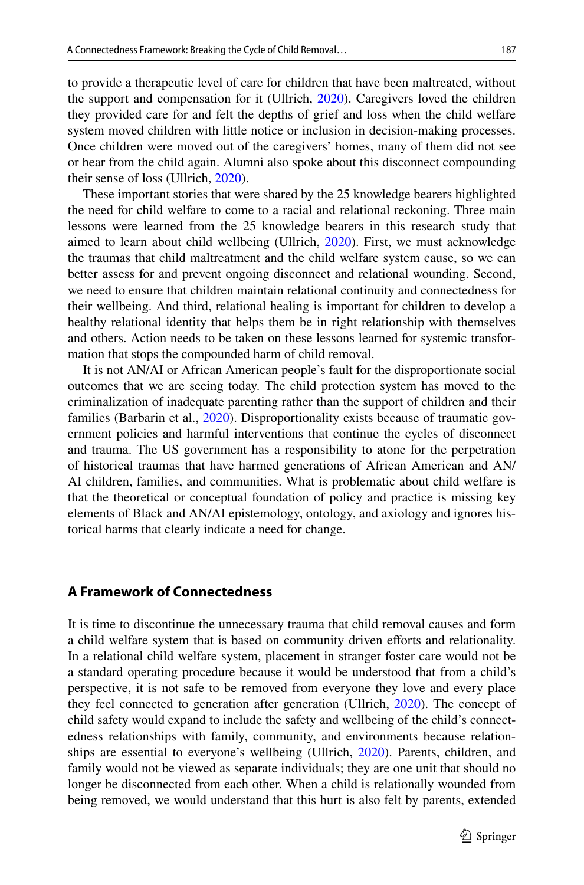to provide a therapeutic level of care for children that have been maltreated, without the support and compensation for it (Ullrich, [2020\)](#page-14-8). Caregivers loved the children they provided care for and felt the depths of grief and loss when the child welfare system moved children with little notice or inclusion in decision-making processes. Once children were moved out of the caregivers' homes, many of them did not see or hear from the child again. Alumni also spoke about this disconnect compounding their sense of loss (Ullrich, [2020\)](#page-14-8).

These important stories that were shared by the 25 knowledge bearers highlighted the need for child welfare to come to a racial and relational reckoning. Three main lessons were learned from the 25 knowledge bearers in this research study that aimed to learn about child wellbeing (Ullrich, [2020\)](#page-14-8). First, we must acknowledge the traumas that child maltreatment and the child welfare system cause, so we can better assess for and prevent ongoing disconnect and relational wounding. Second, we need to ensure that children maintain relational continuity and connectedness for their wellbeing. And third, relational healing is important for children to develop a healthy relational identity that helps them be in right relationship with themselves and others. Action needs to be taken on these lessons learned for systemic transformation that stops the compounded harm of child removal.

It is not AN/AI or African American people's fault for the disproportionate social outcomes that we are seeing today. The child protection system has moved to the criminalization of inadequate parenting rather than the support of children and their families (Barbarin et al., [2020\)](#page-12-12). Disproportionality exists because of traumatic government policies and harmful interventions that continue the cycles of disconnect and trauma. The US government has a responsibility to atone for the perpetration of historical traumas that have harmed generations of African American and AN/ AI children, families, and communities. What is problematic about child welfare is that the theoretical or conceptual foundation of policy and practice is missing key elements of Black and AN/AI epistemology, ontology, and axiology and ignores historical harms that clearly indicate a need for change.

## **A Framework of Connectedness**

It is time to discontinue the unnecessary trauma that child removal causes and form a child welfare system that is based on community driven eforts and relationality. In a relational child welfare system, placement in stranger foster care would not be a standard operating procedure because it would be understood that from a child's perspective, it is not safe to be removed from everyone they love and every place they feel connected to generation after generation (Ullrich, [2020\)](#page-14-8). The concept of child safety would expand to include the safety and wellbeing of the child's connectedness relationships with family, community, and environments because relationships are essential to everyone's wellbeing (Ullrich, [2020](#page-14-8)). Parents, children, and family would not be viewed as separate individuals; they are one unit that should no longer be disconnected from each other. When a child is relationally wounded from being removed, we would understand that this hurt is also felt by parents, extended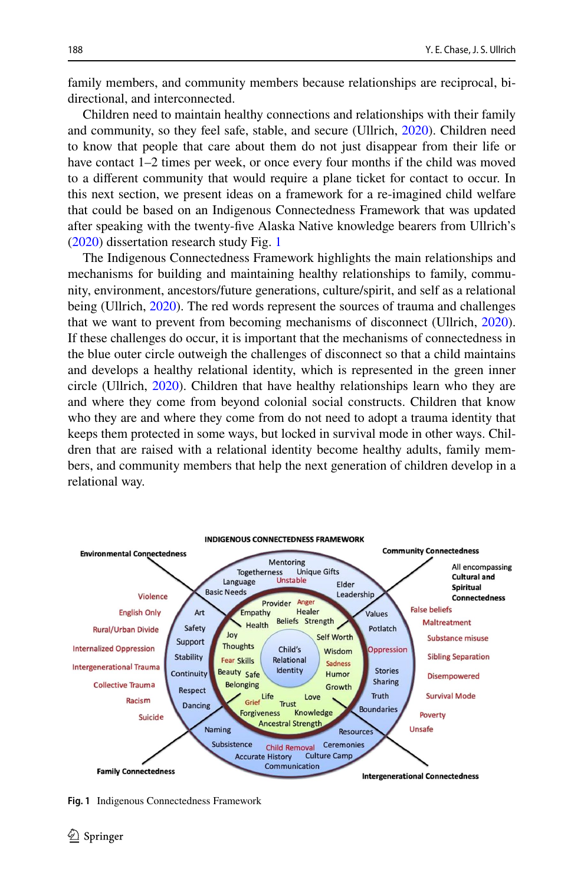family members, and community members because relationships are reciprocal, bidirectional, and interconnected.

Children need to maintain healthy connections and relationships with their family and community, so they feel safe, stable, and secure (Ullrich, [2020\)](#page-14-8). Children need to know that people that care about them do not just disappear from their life or have contact 1–2 times per week, or once every four months if the child was moved to a diferent community that would require a plane ticket for contact to occur. In this next section, we present ideas on a framework for a re-imagined child welfare that could be based on an Indigenous Connectedness Framework that was updated after speaking with the twenty-fve Alaska Native knowledge bearers from Ullrich's [\(2020](#page-14-8)) dissertation research study Fig. [1](#page-7-0)

The Indigenous Connectedness Framework highlights the main relationships and mechanisms for building and maintaining healthy relationships to family, community, environment, ancestors/future generations, culture/spirit, and self as a relational being (Ullrich, [2020\)](#page-14-8). The red words represent the sources of trauma and challenges that we want to prevent from becoming mechanisms of disconnect (Ullrich, [2020\)](#page-14-8). If these challenges do occur, it is important that the mechanisms of connectedness in the blue outer circle outweigh the challenges of disconnect so that a child maintains and develops a healthy relational identity, which is represented in the green inner circle (Ullrich, [2020\)](#page-14-8). Children that have healthy relationships learn who they are and where they come from beyond colonial social constructs. Children that know who they are and where they come from do not need to adopt a trauma identity that keeps them protected in some ways, but locked in survival mode in other ways. Children that are raised with a relational identity become healthy adults, family members, and community members that help the next generation of children develop in a relational way.



<span id="page-7-0"></span>**Fig. 1** Indigenous Connectedness Framework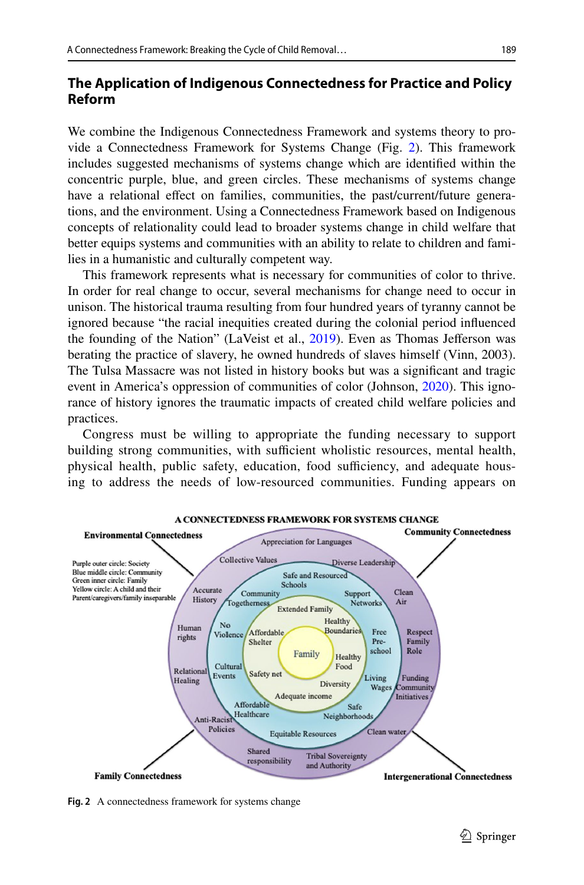# **The Application of Indigenous Connectedness for Practice and Policy Reform**

We combine the Indigenous Connectedness Framework and systems theory to provide a Connectedness Framework for Systems Change (Fig. [2\)](#page-8-0). This framework includes suggested mechanisms of systems change which are identifed within the concentric purple, blue, and green circles. These mechanisms of systems change have a relational efect on families, communities, the past/current/future generations, and the environment. Using a Connectedness Framework based on Indigenous concepts of relationality could lead to broader systems change in child welfare that better equips systems and communities with an ability to relate to children and families in a humanistic and culturally competent way.

This framework represents what is necessary for communities of color to thrive. In order for real change to occur, several mechanisms for change need to occur in unison. The historical trauma resulting from four hundred years of tyranny cannot be ignored because "the racial inequities created during the colonial period infuenced the founding of the Nation" (LaVeist et al., [2019\)](#page-13-14). Even as Thomas Jeferson was berating the practice of slavery, he owned hundreds of slaves himself (Vinn, 2003). The Tulsa Massacre was not listed in history books but was a signifcant and tragic event in America's oppression of communities of color (Johnson, [2020\)](#page-13-15). This ignorance of history ignores the traumatic impacts of created child welfare policies and practices.

Congress must be willing to appropriate the funding necessary to support building strong communities, with sufficient wholistic resources, mental health, physical health, public safety, education, food sufficiency, and adequate housing to address the needs of low-resourced communities. Funding appears on



<span id="page-8-0"></span>**Fig. 2** A connectedness framework for systems change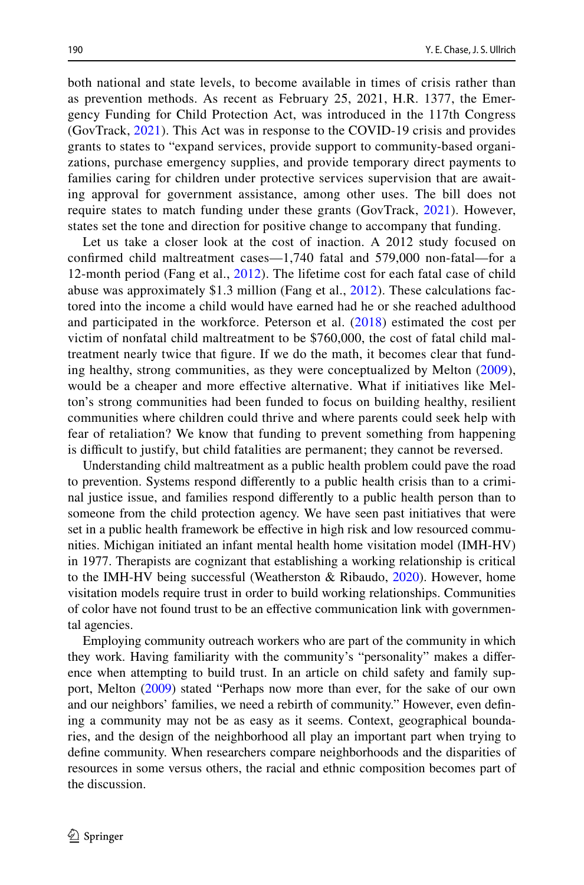both national and state levels, to become available in times of crisis rather than as prevention methods. As recent as February 25, 2021, H.R. 1377, the Emergency Funding for Child Protection Act, was introduced in the 117th Congress (GovTrack, [2021](#page-12-13)). This Act was in response to the COVID-19 crisis and provides grants to states to "expand services, provide support to community-based organizations, purchase emergency supplies, and provide temporary direct payments to families caring for children under protective services supervision that are awaiting approval for government assistance, among other uses. The bill does not require states to match funding under these grants (GovTrack, [2021](#page-12-13)). However, states set the tone and direction for positive change to accompany that funding.

Let us take a closer look at the cost of inaction. A 2012 study focused on confrmed child maltreatment cases—1,740 fatal and 579,000 non-fatal—for a 12-month period (Fang et al., [2012\)](#page-12-14). The lifetime cost for each fatal case of child abuse was approximately \$1.3 million (Fang et al., [2012](#page-12-14)). These calculations factored into the income a child would have earned had he or she reached adulthood and participated in the workforce. Peterson et al. ([2018\)](#page-13-16) estimated the cost per victim of nonfatal child maltreatment to be \$760,000, the cost of fatal child maltreatment nearly twice that fgure. If we do the math, it becomes clear that funding healthy, strong communities, as they were conceptualized by Melton ([2009](#page-13-17)), would be a cheaper and more efective alternative. What if initiatives like Melton's strong communities had been funded to focus on building healthy, resilient communities where children could thrive and where parents could seek help with fear of retaliation? We know that funding to prevent something from happening is difficult to justify, but child fatalities are permanent; they cannot be reversed.

Understanding child maltreatment as a public health problem could pave the road to prevention. Systems respond diferently to a public health crisis than to a criminal justice issue, and families respond diferently to a public health person than to someone from the child protection agency. We have seen past initiatives that were set in a public health framework be efective in high risk and low resourced communities. Michigan initiated an infant mental health home visitation model (IMH-HV) in 1977. Therapists are cognizant that establishing a working relationship is critical to the IMH-HV being successful (Weatherston & Ribaudo,  $2020$ ). However, home visitation models require trust in order to build working relationships. Communities of color have not found trust to be an efective communication link with governmental agencies.

Employing community outreach workers who are part of the community in which they work. Having familiarity with the community's "personality" makes a diference when attempting to build trust. In an article on child safety and family support, Melton [\(2009](#page-13-17)) stated "Perhaps now more than ever, for the sake of our own and our neighbors' families, we need a rebirth of community." However, even defning a community may not be as easy as it seems. Context, geographical boundaries, and the design of the neighborhood all play an important part when trying to defne community. When researchers compare neighborhoods and the disparities of resources in some versus others, the racial and ethnic composition becomes part of the discussion.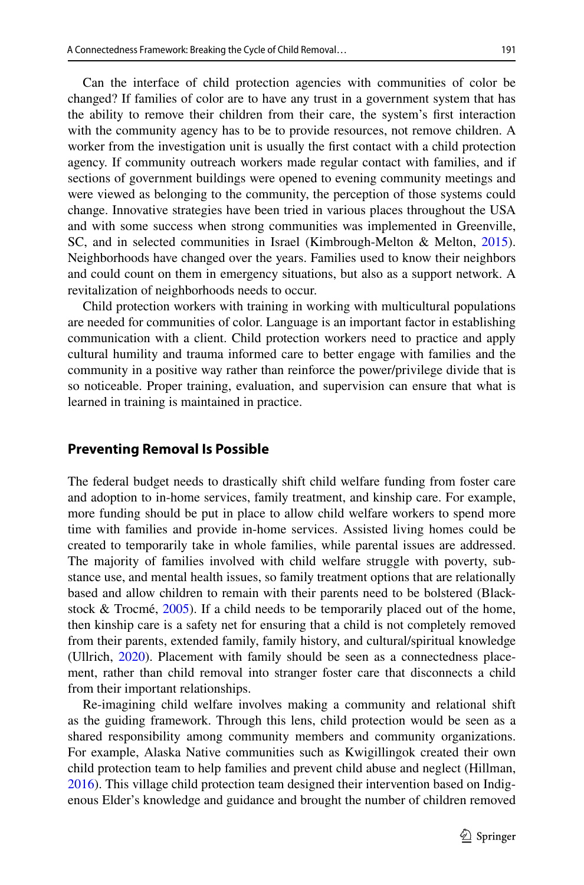Can the interface of child protection agencies with communities of color be changed? If families of color are to have any trust in a government system that has the ability to remove their children from their care, the system's frst interaction with the community agency has to be to provide resources, not remove children. A worker from the investigation unit is usually the frst contact with a child protection agency. If community outreach workers made regular contact with families, and if sections of government buildings were opened to evening community meetings and were viewed as belonging to the community, the perception of those systems could change. Innovative strategies have been tried in various places throughout the USA and with some success when strong communities was implemented in Greenville, SC, and in selected communities in Israel (Kimbrough-Melton & Melton, [2015\)](#page-13-18). Neighborhoods have changed over the years. Families used to know their neighbors and could count on them in emergency situations, but also as a support network. A revitalization of neighborhoods needs to occur.

Child protection workers with training in working with multicultural populations are needed for communities of color. Language is an important factor in establishing communication with a client. Child protection workers need to practice and apply cultural humility and trauma informed care to better engage with families and the community in a positive way rather than reinforce the power/privilege divide that is so noticeable. Proper training, evaluation, and supervision can ensure that what is learned in training is maintained in practice.

# **Preventing Removal Is Possible**

The federal budget needs to drastically shift child welfare funding from foster care and adoption to in-home services, family treatment, and kinship care. For example, more funding should be put in place to allow child welfare workers to spend more time with families and provide in-home services. Assisted living homes could be created to temporarily take in whole families, while parental issues are addressed. The majority of families involved with child welfare struggle with poverty, substance use, and mental health issues, so family treatment options that are relationally based and allow children to remain with their parents need to be bolstered (Blackstock & Trocmé, [2005](#page-12-15)). If a child needs to be temporarily placed out of the home, then kinship care is a safety net for ensuring that a child is not completely removed from their parents, extended family, family history, and cultural/spiritual knowledge (Ullrich, [2020](#page-14-8)). Placement with family should be seen as a connectedness placement, rather than child removal into stranger foster care that disconnects a child from their important relationships.

Re-imagining child welfare involves making a community and relational shift as the guiding framework. Through this lens, child protection would be seen as a shared responsibility among community members and community organizations. For example, Alaska Native communities such as Kwigillingok created their own child protection team to help families and prevent child abuse and neglect (Hillman, [2016](#page-13-19)). This village child protection team designed their intervention based on Indigenous Elder's knowledge and guidance and brought the number of children removed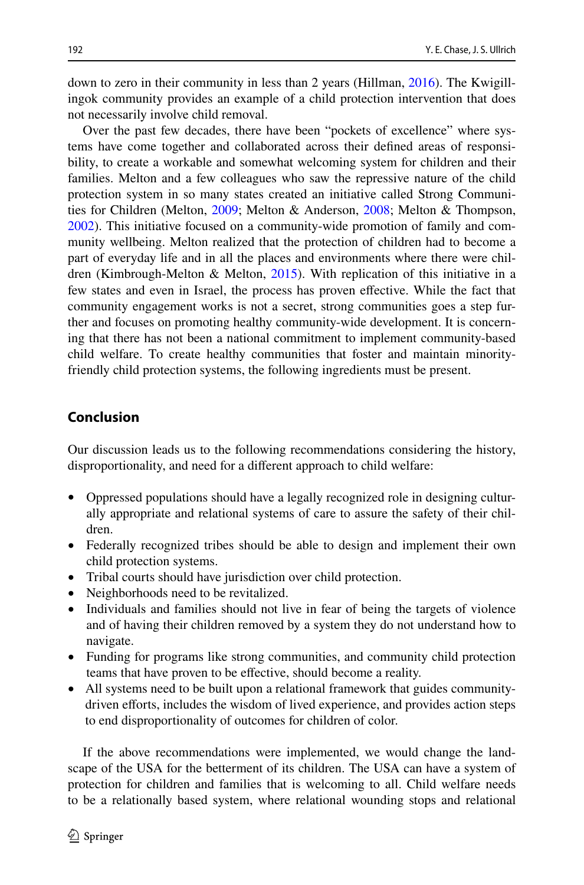down to zero in their community in less than 2 years (Hillman, [2016\)](#page-13-19). The Kwigillingok community provides an example of a child protection intervention that does not necessarily involve child removal.

Over the past few decades, there have been "pockets of excellence" where systems have come together and collaborated across their defned areas of responsibility, to create a workable and somewhat welcoming system for children and their families. Melton and a few colleagues who saw the repressive nature of the child protection system in so many states created an initiative called Strong Communities for Children (Melton, [2009](#page-13-17); Melton & Anderson, [2008;](#page-13-20) Melton & Thompson, [2002](#page-13-21)). This initiative focused on a community-wide promotion of family and community wellbeing. Melton realized that the protection of children had to become a part of everyday life and in all the places and environments where there were children (Kimbrough-Melton & Melton, [2015](#page-13-18)). With replication of this initiative in a few states and even in Israel, the process has proven efective. While the fact that community engagement works is not a secret, strong communities goes a step further and focuses on promoting healthy community-wide development. It is concerning that there has not been a national commitment to implement community-based child welfare. To create healthy communities that foster and maintain minorityfriendly child protection systems, the following ingredients must be present.

# **Conclusion**

Our discussion leads us to the following recommendations considering the history, disproportionality, and need for a diferent approach to child welfare:

- Oppressed populations should have a legally recognized role in designing culturally appropriate and relational systems of care to assure the safety of their children.
- Federally recognized tribes should be able to design and implement their own child protection systems.
- Tribal courts should have jurisdiction over child protection.
- Neighborhoods need to be revitalized.
- Individuals and families should not live in fear of being the targets of violence and of having their children removed by a system they do not understand how to navigate.
- Funding for programs like strong communities, and community child protection teams that have proven to be efective, should become a reality.
- All systems need to be built upon a relational framework that guides communitydriven eforts, includes the wisdom of lived experience, and provides action steps to end disproportionality of outcomes for children of color.

If the above recommendations were implemented, we would change the landscape of the USA for the betterment of its children. The USA can have a system of protection for children and families that is welcoming to all. Child welfare needs to be a relationally based system, where relational wounding stops and relational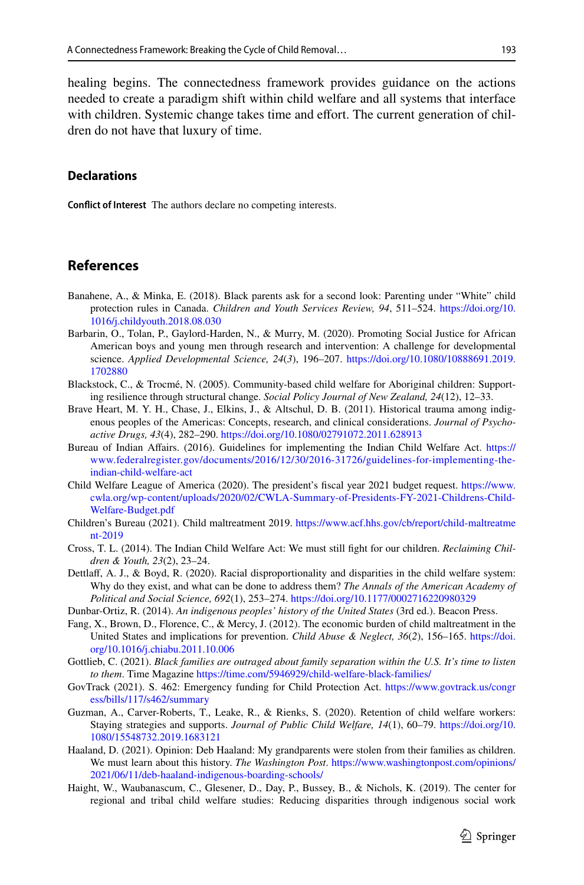healing begins. The connectedness framework provides guidance on the actions needed to create a paradigm shift within child welfare and all systems that interface with children. Systemic change takes time and effort. The current generation of children do not have that luxury of time.

## **Declarations**

**Confict of Interest** The authors declare no competing interests.

## **References**

- <span id="page-12-6"></span>Banahene, A., & Minka, E. (2018). Black parents ask for a second look: Parenting under "White" child protection rules in Canada. *Children and Youth Services Review, 94*, 511–524. [https://doi.org/10.](https://doi.org/10.1016/j.childyouth.2018.08.030) [1016/j.childyouth.2018.08.030](https://doi.org/10.1016/j.childyouth.2018.08.030)
- <span id="page-12-12"></span>Barbarin, O., Tolan, P., Gaylord-Harden, N., & Murry, M. (2020). Promoting Social Justice for African American boys and young men through research and intervention: A challenge for developmental science. *Applied Developmental Science, 24*(*3*), 196–207. [https://doi.org/10.1080/10888691.2019.](https://doi.org/10.1080/10888691.2019.1702880) [1702880](https://doi.org/10.1080/10888691.2019.1702880)
- <span id="page-12-15"></span>Blackstock, C., & Trocmé, N. (2005). Community-based child welfare for Aboriginal children: Supporting resilience through structural change. *Social Policy Journal of New Zealand, 24*(12), 12–33.
- <span id="page-12-3"></span>Brave Heart, M. Y. H., Chase, J., Elkins, J., & Altschul, D. B. (2011). Historical trauma among indigenous peoples of the Americas: Concepts, research, and clinical considerations. *Journal of Psychoactive Drugs, 43*(4), 282–290.<https://doi.org/10.1080/02791072.2011.628913>
- <span id="page-12-10"></span>Bureau of Indian Affairs. (2016). Guidelines for implementing the Indian Child Welfare Act. [https://](https://www.federalregister.gov/documents/2016/12/30/2016-31726/guidelines-for-implementing-the-indian-child-welfare-act) [www.federalregister.gov/documents/2016/12/30/2016-31726/guidelines-for-implementing-the](https://www.federalregister.gov/documents/2016/12/30/2016-31726/guidelines-for-implementing-the-indian-child-welfare-act)[indian-child-welfare-act](https://www.federalregister.gov/documents/2016/12/30/2016-31726/guidelines-for-implementing-the-indian-child-welfare-act)
- <span id="page-12-11"></span>Child Welfare League of America (2020). The president's fscal year 2021 budget request. [https://www.](https://www.cwla.org/wp-content/uploads/2020/02/CWLA-Summary-of-Presidents-FY-2021-Childrens-Child-Welfare-Budget.pdf) [cwla.org/wp-content/uploads/2020/02/CWLA-Summary-of-Presidents-FY-2021-Childrens-Child-](https://www.cwla.org/wp-content/uploads/2020/02/CWLA-Summary-of-Presidents-FY-2021-Childrens-Child-Welfare-Budget.pdf)[Welfare-Budget.pdf](https://www.cwla.org/wp-content/uploads/2020/02/CWLA-Summary-of-Presidents-FY-2021-Childrens-Child-Welfare-Budget.pdf)
- <span id="page-12-4"></span>Children's Bureau (2021). Child maltreatment 2019. [https://www.acf.hhs.gov/cb/report/child-maltreatme](https://www.acf.hhs.gov/cb/report/child-maltreatment-2019) [nt-2019](https://www.acf.hhs.gov/cb/report/child-maltreatment-2019)
- <span id="page-12-1"></span>Cross, T. L. (2014). The Indian Child Welfare Act: We must still fght for our children. *Reclaiming Children & Youth, 23*(2), 23–24.
- <span id="page-12-7"></span>Dettlaf, A. J., & Boyd, R. (2020). Racial disproportionality and disparities in the child welfare system: Why do they exist, and what can be done to address them? *The Annals of the American Academy of Political and Social Science, 692*(1), 253–274. <https://doi.org/10.1177/0002716220980329>
- <span id="page-12-0"></span>Dunbar-Ortiz, R. (2014). *An indigenous peoples' history of the United States* (3rd ed.). Beacon Press.
- <span id="page-12-14"></span>Fang, X., Brown, D., Florence, C., & Mercy, J. (2012). The economic burden of child maltreatment in the United States and implications for prevention. *Child Abuse & Neglect, 36*(*2*), 156–165. [https://doi.](https://doi.org/10.1016/j.chiabu.2011.10.006) [org/10.1016/j.chiabu.2011.10.006](https://doi.org/10.1016/j.chiabu.2011.10.006)
- <span id="page-12-5"></span>Gottlieb, C. (2021). *Black families are outraged about family separation within the U.S. It's time to listen to them*. Time Magazine <https://time.com/5946929/child-welfare-black-families/>
- <span id="page-12-13"></span>GovTrack (2021). S. 462: Emergency funding for Child Protection Act. [https://www.govtrack.us/congr](https://www.govtrack.us/congress/bills/117/s462/summary) [ess/bills/117/s462/summary](https://www.govtrack.us/congress/bills/117/s462/summary)
- <span id="page-12-8"></span>Guzman, A., Carver-Roberts, T., Leake, R., & Rienks, S. (2020). Retention of child welfare workers: Staying strategies and supports. *Journal of Public Child Welfare, 14*(1), 60–79. [https://doi.org/10.](https://doi.org/10.1080/15548732.2019.1683121) [1080/15548732.2019.1683121](https://doi.org/10.1080/15548732.2019.1683121)
- <span id="page-12-2"></span>Haaland, D. (2021). Opinion: Deb Haaland: My grandparents were stolen from their families as children. We must learn about this history. *The Washington Post*. [https://www.washingtonpost.com/opinions/](https://www.washingtonpost.com/opinions/2021/06/11/deb-haaland-indigenous-boarding-schools/) [2021/06/11/deb-haaland-indigenous-boarding-schools/](https://www.washingtonpost.com/opinions/2021/06/11/deb-haaland-indigenous-boarding-schools/)
- <span id="page-12-9"></span>Haight, W., Waubanascum, C., Glesener, D., Day, P., Bussey, B., & Nichols, K. (2019). The center for regional and tribal child welfare studies: Reducing disparities through indigenous social work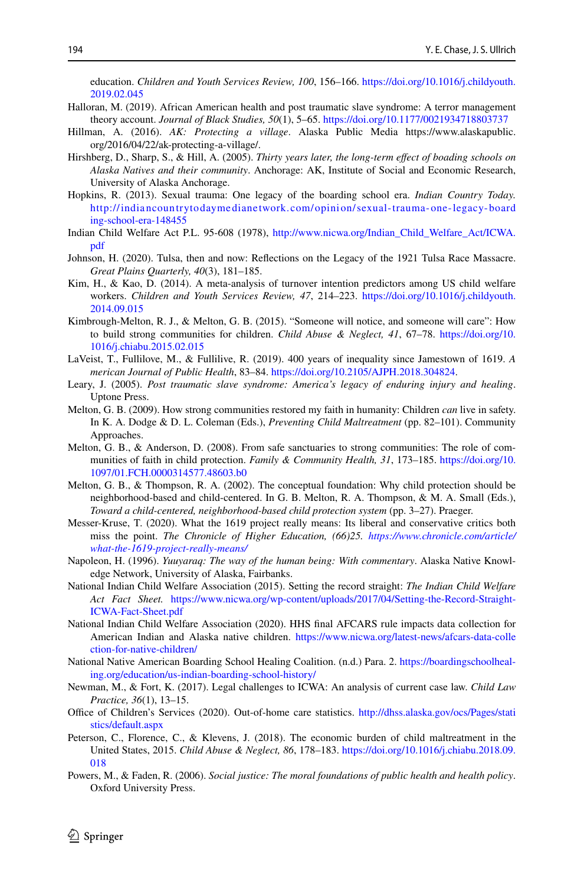education. *Children and Youth Services Review, 100*, 156–166. [https://doi.org/10.1016/j.childyouth.](https://doi.org/10.1016/j.childyouth.2019.02.045) [2019.02.045](https://doi.org/10.1016/j.childyouth.2019.02.045)

- <span id="page-13-1"></span>Halloran, M. (2019). African American health and post traumatic slave syndrome: A terror management theory account. *Journal of Black Studies, 50*(1), 5–65.<https://doi.org/10.1177/0021934718803737>
- <span id="page-13-19"></span>Hillman, A. (2016). *AK: Protecting a village*. Alaska Public Media https://www.alaskapublic. org/2016/04/22/ak-protecting-a-village/.
- <span id="page-13-4"></span>Hirshberg, D., Sharp, S., & Hill, A. (2005). *Thirty years later, the long-term efect of boading schools on Alaska Natives and their community*. Anchorage: AK, Institute of Social and Economic Research, University of Alaska Anchorage.
- <span id="page-13-5"></span>Hopkins, R. (2013). Sexual trauma: One legacy of the boarding school era. *Indian Country Today.* http://indiancountrytodaymediane twork. [com/opinion/sexual-trauma-one-legacy-board](http://indiancountrytodaymedianetwork.com/opinion/sexual-trauma-one-legacy-boarding-school-era-148455) [ing-school-era-148455](http://indiancountrytodaymedianetwork.com/opinion/sexual-trauma-one-legacy-boarding-school-era-148455)
- <span id="page-13-10"></span>Indian Child Welfare Act P.L. 95-608 (1978), [http://www.nicwa.org/Indian\\_Child\\_Welfare\\_Act/ICWA.](http://www.nicwa.org/Indian_Child_Welfare_Act/ICWA.pdf) [pdf](http://www.nicwa.org/Indian_Child_Welfare_Act/ICWA.pdf)
- <span id="page-13-15"></span>Johnson, H. (2020). Tulsa, then and now: Refections on the Legacy of the 1921 Tulsa Race Massacre. *Great Plains Quarterly, 40*(3), 181–185.
- <span id="page-13-9"></span>Kim, H., & Kao, D. (2014). A meta-analysis of turnover intention predictors among US child welfare workers. *Children and Youth Services Review, 47*, 214–223. [https://doi.org/10.1016/j.childyouth.](https://doi.org/10.1016/j.childyouth.2014.09.015) [2014.09.015](https://doi.org/10.1016/j.childyouth.2014.09.015)
- <span id="page-13-18"></span>Kimbrough-Melton, R. J., & Melton, G. B. (2015). "Someone will notice, and someone will care": How to build strong communities for children. *Child Abuse & Neglect, 41*, 67–78. [https://doi.org/10.](https://doi.org/10.1016/j.chiabu.2015.02.015) [1016/j.chiabu.2015.02.015](https://doi.org/10.1016/j.chiabu.2015.02.015)
- <span id="page-13-14"></span>LaVeist, T., Fullilove, M., & Fullilive, R. (2019). 400 years of inequality since Jamestown of 1619. *A merican Journal of Public Health*, 83–84. [https://doi.org/10.2105/AJPH.2018.304824.](https://doi.org/10.2105/AJPH.2018.304824)
- <span id="page-13-2"></span>Leary, J. (2005). *Post traumatic slave syndrome: America's legacy of enduring injury and healing*. Uptone Press.
- <span id="page-13-17"></span>Melton, G. B. (2009). How strong communities restored my faith in humanity: Children *can* live in safety. In K. A. Dodge & D. L. Coleman (Eds.), *Preventing Child Maltreatment* (pp. 82–101). Community Approaches.
- <span id="page-13-20"></span>Melton, G. B., & Anderson, D. (2008). From safe sanctuaries to strong communities: The role of communities of faith in child protection. *Family & Community Health, 31*, 173–185. [https://doi.org/10.](https://doi.org/10.1097/01.FCH.0000314577.48603.b0) [1097/01.FCH.0000314577.48603.b0](https://doi.org/10.1097/01.FCH.0000314577.48603.b0)
- <span id="page-13-21"></span>Melton, G. B., & Thompson, R. A. (2002). The conceptual foundation: Why child protection should be neighborhood-based and child-centered. In G. B. Melton, R. A. Thompson, & M. A. Small (Eds.), *Toward a child-centered, neighborhood-based child protection system* (pp. 3–27). Praeger.
- <span id="page-13-0"></span>Messer-Kruse, T. (2020). What the 1619 project really means: Its liberal and conservative critics both miss the point. *The Chronicle of Higher Education, (66)25. [https://www.chronicle.com/article/](https://www.chronicle.com/article/what-the-1619-project-really-means/) [what-the-1619-project-really-means/](https://www.chronicle.com/article/what-the-1619-project-really-means/)*
- <span id="page-13-6"></span>Napoleon, H. (1996). *Yuuyaraq: The way of the human being: With commentary*. Alaska Native Knowledge Network, University of Alaska, Fairbanks.
- <span id="page-13-11"></span>National Indian Child Welfare Association (2015). Setting the record straight: *The Indian Child Welfare Act Fact Sheet.* [https://www.nicwa.org/wp-content/uploads/2017/04/Setting-the-Record-Straight-](https://www.nicwa.org/wp-content/uploads/2017/04/Setting-the-Record-Straight-ICWA-Fact-Sheet.pdf)[ICWA-Fact-Sheet.pdf](https://www.nicwa.org/wp-content/uploads/2017/04/Setting-the-Record-Straight-ICWA-Fact-Sheet.pdf)
- <span id="page-13-13"></span>National Indian Child Welfare Association (2020). HHS fnal AFCARS rule impacts data collection for American Indian and Alaska native children. [https://www.nicwa.org/latest-news/afcars-data-colle](https://www.nicwa.org/latest-news/afcars-data-collection-for-native-children/) [ction-for-native-children/](https://www.nicwa.org/latest-news/afcars-data-collection-for-native-children/)
- <span id="page-13-3"></span>National Native American Boarding School Healing Coalition. (n.d.) Para. 2. [https://boardingschoolheal](https://boardingschoolhealing.org/education/us-indian-boarding-school-history/)[ing.org/education/us-indian-boarding-school-history/](https://boardingschoolhealing.org/education/us-indian-boarding-school-history/)
- <span id="page-13-12"></span>Newman, M., & Fort, K. (2017). Legal challenges to ICWA: An analysis of current case law. *Child Law Practice, 36*(1), 13–15.
- <span id="page-13-7"></span>Office of Children's Services (2020). Out-of-home care statistics. [http://dhss.alaska.gov/ocs/Pages/stati](http://dhss.alaska.gov/ocs/Pages/statistics/default.aspx) [stics/default.aspx](http://dhss.alaska.gov/ocs/Pages/statistics/default.aspx)
- <span id="page-13-16"></span>Peterson, C., Florence, C., & Klevens, J. (2018). The economic burden of child maltreatment in the United States, 2015. *Child Abuse & Neglect, 86*, 178–183. [https://doi.org/10.1016/j.chiabu.2018.09.](https://doi.org/10.1016/j.chiabu.2018.09.018) [018](https://doi.org/10.1016/j.chiabu.2018.09.018)
- <span id="page-13-8"></span>Powers, M., & Faden, R. (2006). *Social justice: The moral foundations of public health and health policy*. Oxford University Press.